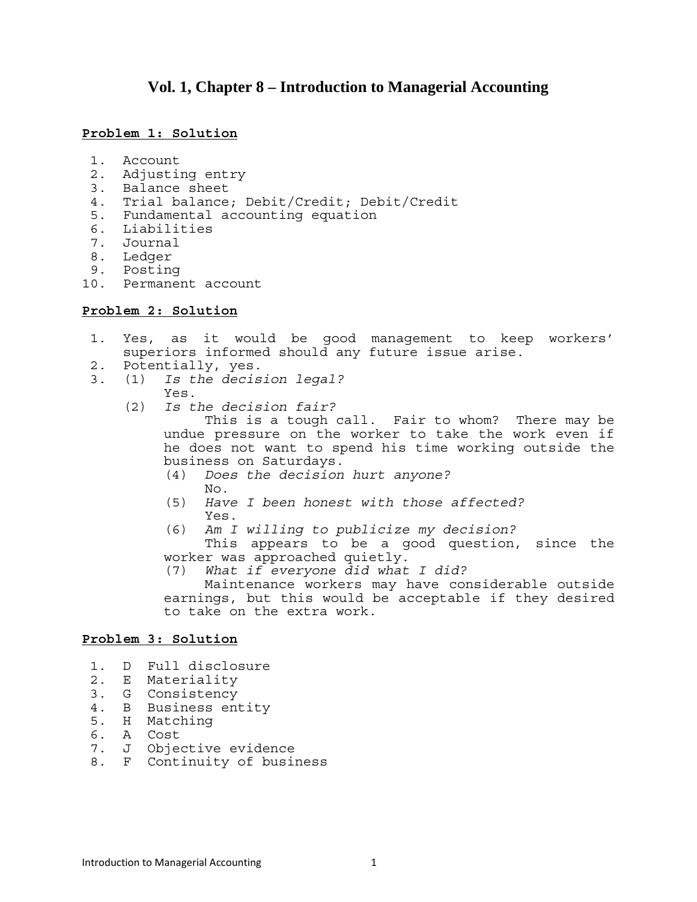# **Vol. 1, Chapter 8 – Introduction to Managerial Accounting**

### **Problem 1: Solution**

- 1. Account
- 2. Adjusting entry
- 3. Balance sheet
- 4. Trial balance; Debit/Credit; Debit/Credit
- 5. Fundamental accounting equation
- 6. Liabilities
- 7. Journal
- 8. Ledger
- 9. Posting
- 10. Permanent account

#### **Problem 2: Solution**

- 1. Yes, as it would be good management to keep workers' superiors informed should any future issue arise.
- 2. Potentially, yes.
- 3. (1) *Is the decision legal?*
	- Yes.
	- (2) *Is the decision fair?*

 This is a tough call. Fair to whom? There may be undue pressure on the worker to take the work even if he does not want to spend his time working outside the business on Saturdays.

- (4) *Does the decision hurt anyone?*  No.
- (5) *Have I been honest with those affected?* Yes.
- (6) *Am I willing to publicize my decision?*

 This appears to be a good question, since the worker was approached quietly.

(7) *What if everyone did what I did?* 

 Maintenance workers may have considerable outside earnings, but this would be acceptable if they desired to take on the extra work.

### **Problem 3: Solution**

- 1. D Full disclosure
- 2. E Materiality
- 3. G Consistency
- 4. B Business entity
- 5. H Matching
- 6. A Cost
- 7. J Objective evidence
- 8. F Continuity of business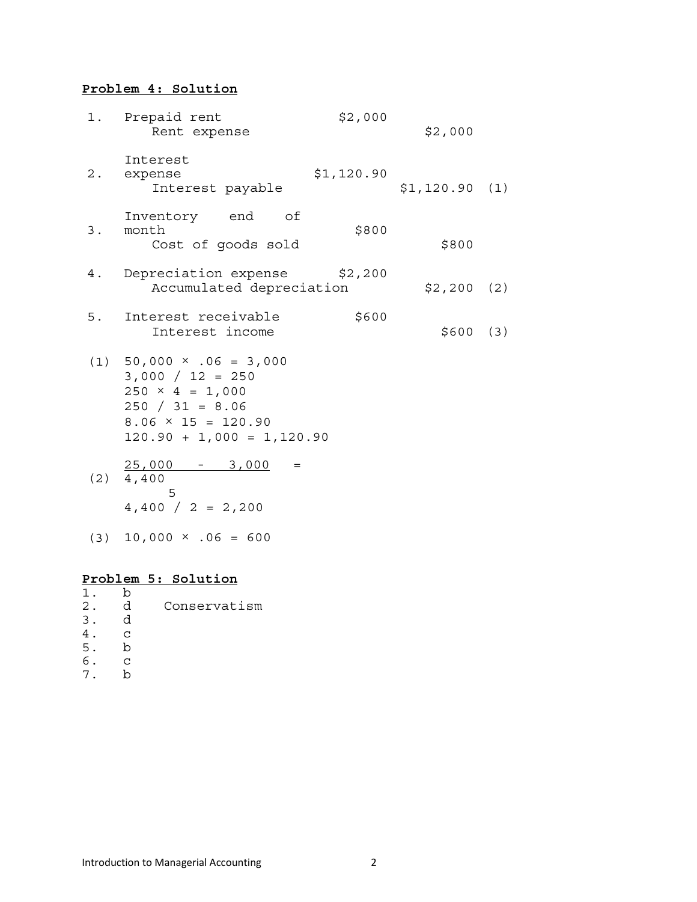# **Problem 4: Solution**

|       | 1. Prepaid rent<br>Rent expense                                                                                                                                    | \$2,000    | \$2,000       |     |
|-------|--------------------------------------------------------------------------------------------------------------------------------------------------------------------|------------|---------------|-----|
| $2$ . | Interest<br>expense<br>Interest payable                                                                                                                            | \$1,120.90 | \$1,120.90(1) |     |
| 3.    | Inventory end of<br>month<br>Cost of goods sold                                                                                                                    | \$800      | \$800         |     |
| 4.    | Depreciation expense \$2,200<br>Accumulated depreciation                                                                                                           |            | $$2,200$ (2)  |     |
| 5.    | Interest receivable<br>Interest income                                                                                                                             | \$600      | \$600         | (3) |
|       | $(1)$ 50,000 $\times$ .06 = 3,000<br>$3,000 / 12 = 250$<br>$250 \times 4 = 1,000$<br>$250 / 31 = 8.06$<br>$8.06 \times 15 = 120.90$<br>$120.90 + 1,000 = 1,120.90$ |            |               |     |
|       | $25,000 - 3,000$<br>$=$<br>$(2)$ 4,400<br>5<br>$4,400 / 2 = 2,200$                                                                                                 |            |               |     |
| (3)   | $10,000 \times .06 = 600$                                                                                                                                          |            |               |     |

# **Problem 5: Solution**

|       | h |              |
|-------|---|--------------|
| $2$ . | d | Conservatism |
| 3.    | d |              |
|       | ۲ |              |
| 5.    | h |              |
| б.    | ۲ |              |
|       | n |              |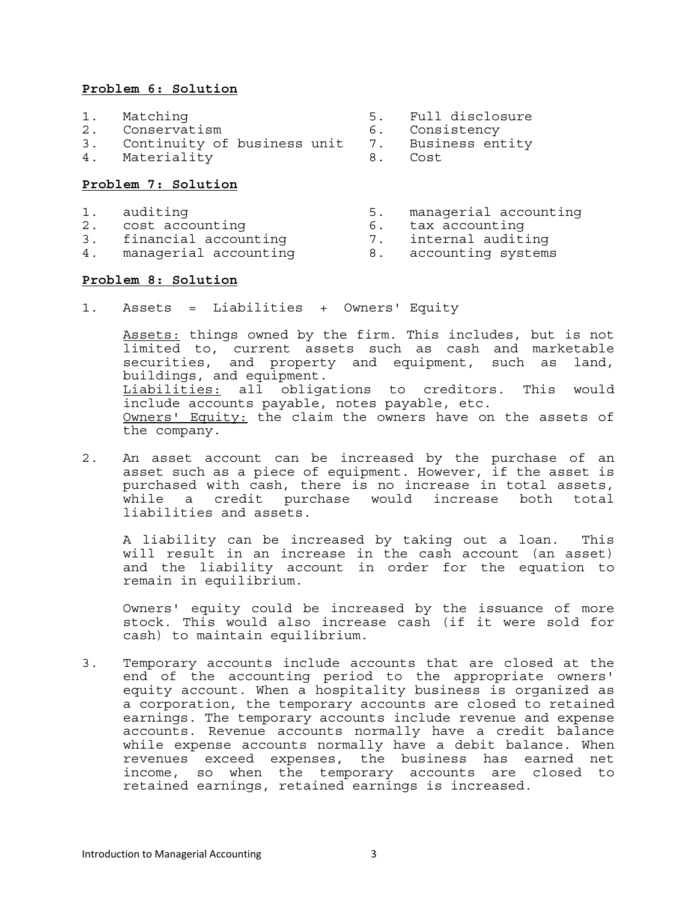## **Problem 6: Solution**

- 
- 2. Conservatism 6. Consistency
- 3. Continuity of business unit 7. Business entity
- 4. Materiality 8. Cost

### **Problem 7: Solution**

- 
- 2. cost accounting 1. The mass of the counting to tax accounting
- 3. financial accounting 7. internal auditing
- 4. managerial accounting  $\qquad \qquad 8.$  accounting systems

### **Problem 8: Solution**

1. Assets = Liabilities + Owners' Equity

Assets: things owned by the firm. This includes, but is not limited to, current assets such as cash and marketable securities, and property and equipment, such as land, buildings, and equipment. Liabilities: all obligations to creditors. This would include accounts payable, notes payable, etc. Owners' Equity: the claim the owners have on the assets of the company.

2. An asset account can be increased by the purchase of an asset such as a piece of equipment. However, if the asset is purchased with cash, there is no increase in total assets, while a credit purchase would increase both total liabilities and assets.

A liability can be increased by taking out a loan. This will result in an increase in the cash account (an asset) and the liability account in order for the equation to remain in equilibrium.

Owners' equity could be increased by the issuance of more stock. This would also increase cash (if it were sold for cash) to maintain equilibrium.

3. Temporary accounts include accounts that are closed at the end of the accounting period to the appropriate owners' equity account. When a hospitality business is organized as a corporation, the temporary accounts are closed to retained earnings. The temporary accounts include revenue and expense accounts. Revenue accounts normally have a credit balance while expense accounts normally have a debit balance. When revenues exceed expenses, the business has earned net income, so when the temporary accounts are closed to retained earnings, retained earnings is increased.

- 1. Matching 5. Full disclosure
	-
	- -
- 1. auditing 5. managerial accounting<br>2. cost accounting 5. tax accounting
	-
	-
	-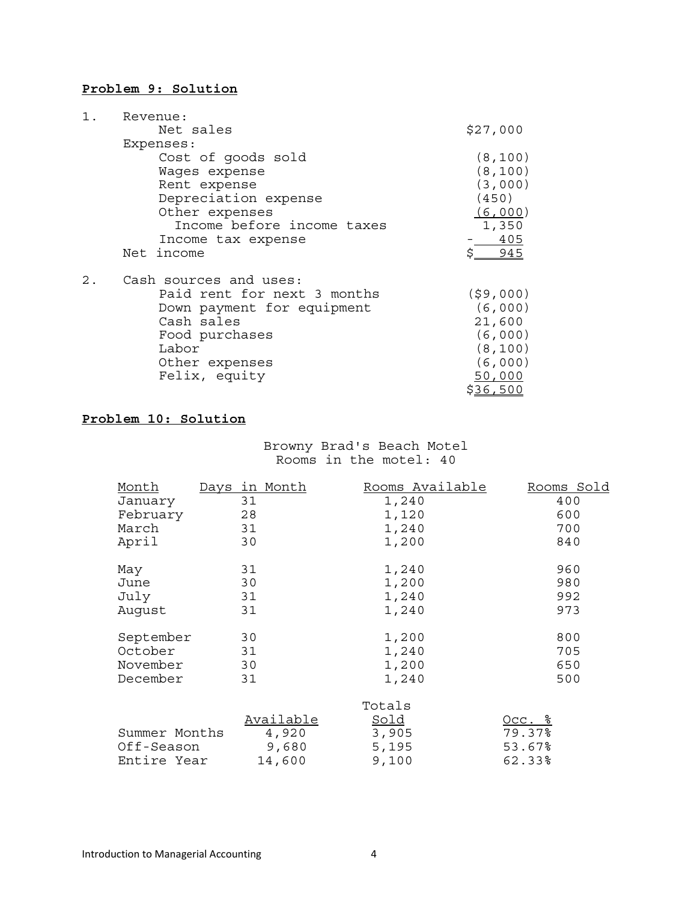## **Problem 9: Solution**

|       | Revenue:                    |          |
|-------|-----------------------------|----------|
|       | Net sales                   | \$27,000 |
|       | Expenses:                   |          |
|       | Cost of goods sold          | (8, 100) |
|       | Wages expense               | (8, 100) |
|       | Rent expense                | (3,000)  |
|       | Depreciation expense        | (450)    |
|       | Other expenses              | (6,000)  |
|       | Income before income taxes  | 1,350    |
|       | Income tax expense          | 405      |
|       | Net income                  | \$ 945   |
| $2$ . | Cash sources and uses:      |          |
|       | Paid rent for next 3 months | (59,000) |
|       | Down payment for equipment  | (6,000)  |
|       | Cash sales                  | 21,600   |
|       | Food purchases              | (6,000)  |
|       | Labor                       | (8, 100) |
|       | Other expenses              | (6,000)  |
|       | Felix, equity               | 50,000   |
|       |                             | \$36,500 |

# **Problem 10: Solution**

Browny Brad's Beach Motel Rooms in the motel: 40

| Month         | Days in Month |           | Rooms Available | Rooms Sold    |
|---------------|---------------|-----------|-----------------|---------------|
| January       | 31            |           | 1,240           | 400           |
| February      | 28            |           | 1,120           | 600           |
| March         | 31            |           | 1,240           | 700           |
| April         | 30            |           | 1,200           | 840           |
| May           | 31            |           | 1,240           | 960           |
| June          | 30            |           | 1,200           | 980           |
| July          | 31            |           | 1,240           | 992           |
| August        | 31            |           | 1,240           | 973           |
| September     | 30            |           | 1,200           | 800           |
| October       | 31            |           | 1,240           | 705           |
| November      | 30            |           | 1,200           | 650           |
| December      | 31            |           | 1,240           | 500           |
|               |               |           | Totals          |               |
|               |               | Available | Sold            | <u>Occ. %</u> |
| Summer Months |               | 4,920     | 3,905           | 79.37%        |
| Off-Season    |               | 9,680     | 5,195           | 53.67%        |
| Entire Year   |               | 14,600    | 9,100           | 62.33%        |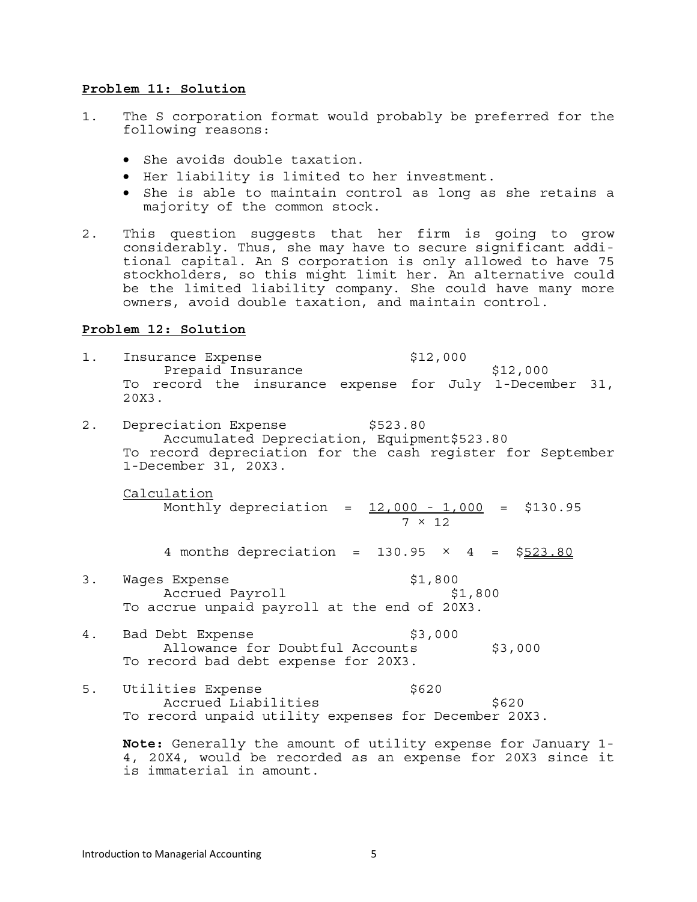#### **Problem 11: Solution**

- 1. The S corporation format would probably be preferred for the following reasons:
	- She avoids double taxation.
	- Her liability is limited to her investment.
	- She is able to maintain control as long as she retains a majority of the common stock.
- 2. This question suggests that her firm is going to grow considerably. Thus, she may have to secure significant additional capital. An S corporation is only allowed to have 75 stockholders, so this might limit her. An alternative could be the limited liability company. She could have many more owners, avoid double taxation, and maintain control.

### **Problem 12: Solution**

- 1. Insurance Expense  $$12,000$ Prepaid Insurance \$12,000 To record the insurance expense for July 1-December 31, 20X3.
- 2. Depreciation Expense \$523.80 Accumulated Depreciation, Equipment\$523.80 To record depreciation for the cash register for September 1-December 31, 20X3.

Calculation Monthly depreciation = 12,000 - 1,000 = \$130.95  $7 \times 12$ 

4 months depreciation =  $130.95 \times 4 = $523.80$ 

- 3. Wages Expense **\$1,800** Accrued Payroll \$1,800 To accrue unpaid payroll at the end of 20X3.
- 4. Bad Debt Expense  $$3,000$ Allowance for Doubtful Accounts \$3,000 To record bad debt expense for 20X3.
- 5. Utilities Expense 6620 Accrued Liabilities \$620 To record unpaid utility expenses for December 20X3.

**Note:** Generally the amount of utility expense for January 1- 4, 20X4, would be recorded as an expense for 20X3 since it is immaterial in amount.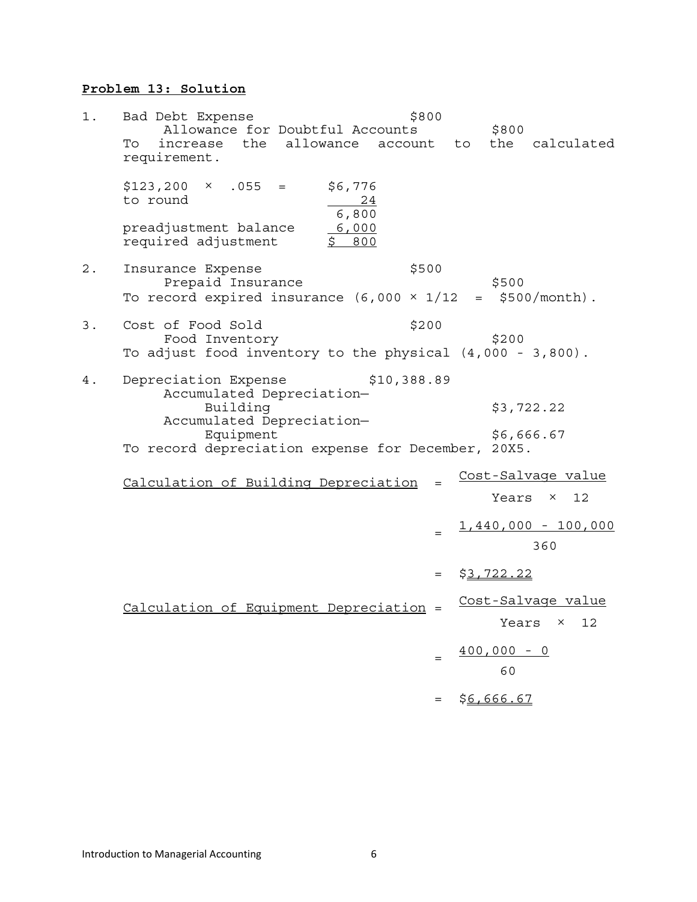# **Problem 13: Solution**

| $1$ . | Bad Debt Expense<br>Allowance for Doubtful Accounts<br>the allowance account to<br>To<br>increase<br>requirement.                                                            | \$800 | \$800               | the calculated                          |
|-------|------------------------------------------------------------------------------------------------------------------------------------------------------------------------------|-------|---------------------|-----------------------------------------|
|       | $$123,200 \times .055 =$<br>\$6,776<br>to round<br>$\frac{24}{ }$<br>6,800                                                                                                   |       |                     |                                         |
|       | preadjustment balance<br>6,000<br>required adjustment<br>\$800                                                                                                               |       |                     |                                         |
| $2$ . | Insurance Expense<br>Prepaid Insurance<br>To record expired insurance (6,000 $\times$ 1/12                                                                                   | \$500 | \$500<br>$=$ $-$    | $$500/month$ .                          |
| 3.    | Cost of Food Sold<br>Food Inventory<br>To adjust food inventory to the physical $(4,000 - 3,800)$ .                                                                          | \$200 | \$200               |                                         |
| 4.    | Depreciation Expense<br>\$10,388.89<br>Accumulated Depreciation-<br>Building<br>Accumulated Depreciation-<br>Equipment<br>To record depreciation expense for December, 20X5. |       |                     | \$3,722.22<br>\$6,666.67                |
|       | Calculation of Building Depreciation                                                                                                                                         |       |                     | Cost-Salvage value<br>Years $\times$ 12 |
|       |                                                                                                                                                                              |       |                     | $1,440,000 - 100,000$<br>360            |
|       |                                                                                                                                                                              | $=$   | \$3,722.22          |                                         |
|       | Calculation of Equipment Depreciation =                                                                                                                                      |       |                     | Cost-Salvage value<br>Years ×<br>12     |
|       |                                                                                                                                                                              |       | $400,000 - 0$<br>60 |                                         |
|       |                                                                                                                                                                              |       | \$6,666.67          |                                         |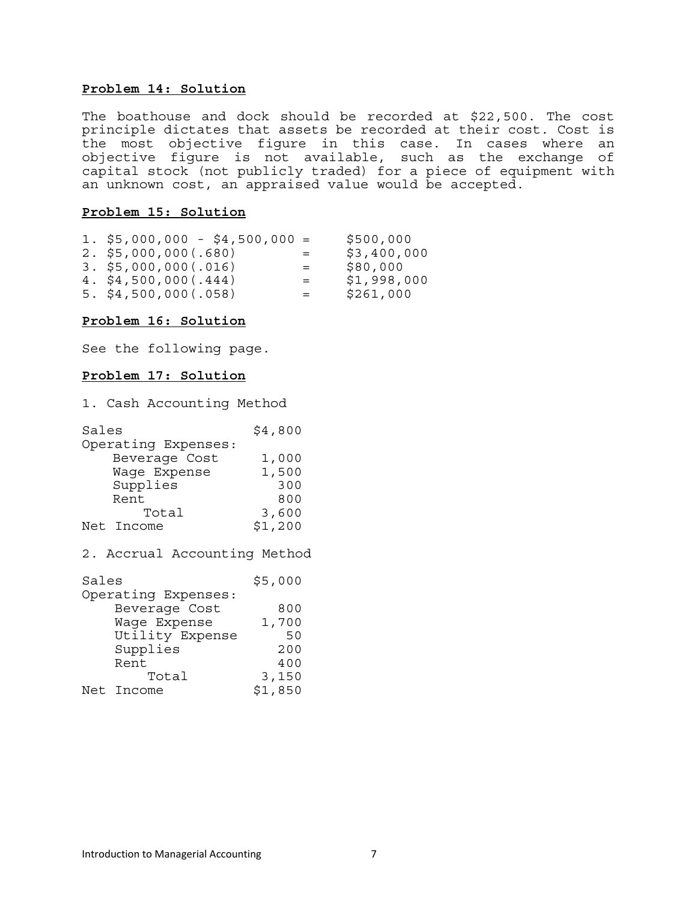### **Problem 14: Solution**

The boathouse and dock should be recorded at \$22,500. The cost principle dictates that assets be recorded at their cost. Cost is the most objective figure in this case. In cases where an objective figure is not available, such as the exchange of capital stock (not publicly traded) for a piece of equipment with an unknown cost, an appraised value would be accepted.

#### **Problem 15: Solution**

| 1. \$5,000,000 - \$4,500,000 = |                           | \$500,000   |
|--------------------------------|---------------------------|-------------|
| $2.$ \$5,000,000 $(.680)$      | $\mathbf{r} = \mathbf{r}$ | \$3,400,000 |
| $3.$ \$5,000,000(.016)         | $=$                       | \$80,000    |
| $4.$ \$4,500,000 (.444)        | $=$                       | \$1,998,000 |
| $5.$ \$4,500,000 (.058)        | $=$ $-$                   | \$261,000   |

### **Problem 16: Solution**

See the following page.

### **Problem 17: Solution**

1. Cash Accounting Method

| Sales               | \$4,800 |
|---------------------|---------|
| Operating Expenses: |         |
| Beverage Cost       | 1,000   |
| Wage Expense        | 1,500   |
| Supplies            | 300     |
| Rent                | 800     |
| Total               | 3,600   |
| Net Income          | \$1,200 |

2. Accrual Accounting Method

| Sales               | \$5,000 |
|---------------------|---------|
| Operating Expenses: |         |
| Beverage Cost       | 800     |
| Wage Expense        | 1,700   |
| Utility Expense     | 50      |
| Supplies            | 200     |
| Rent                | 400     |
| Total               | 3,150   |
| Net Income          | \$1,850 |